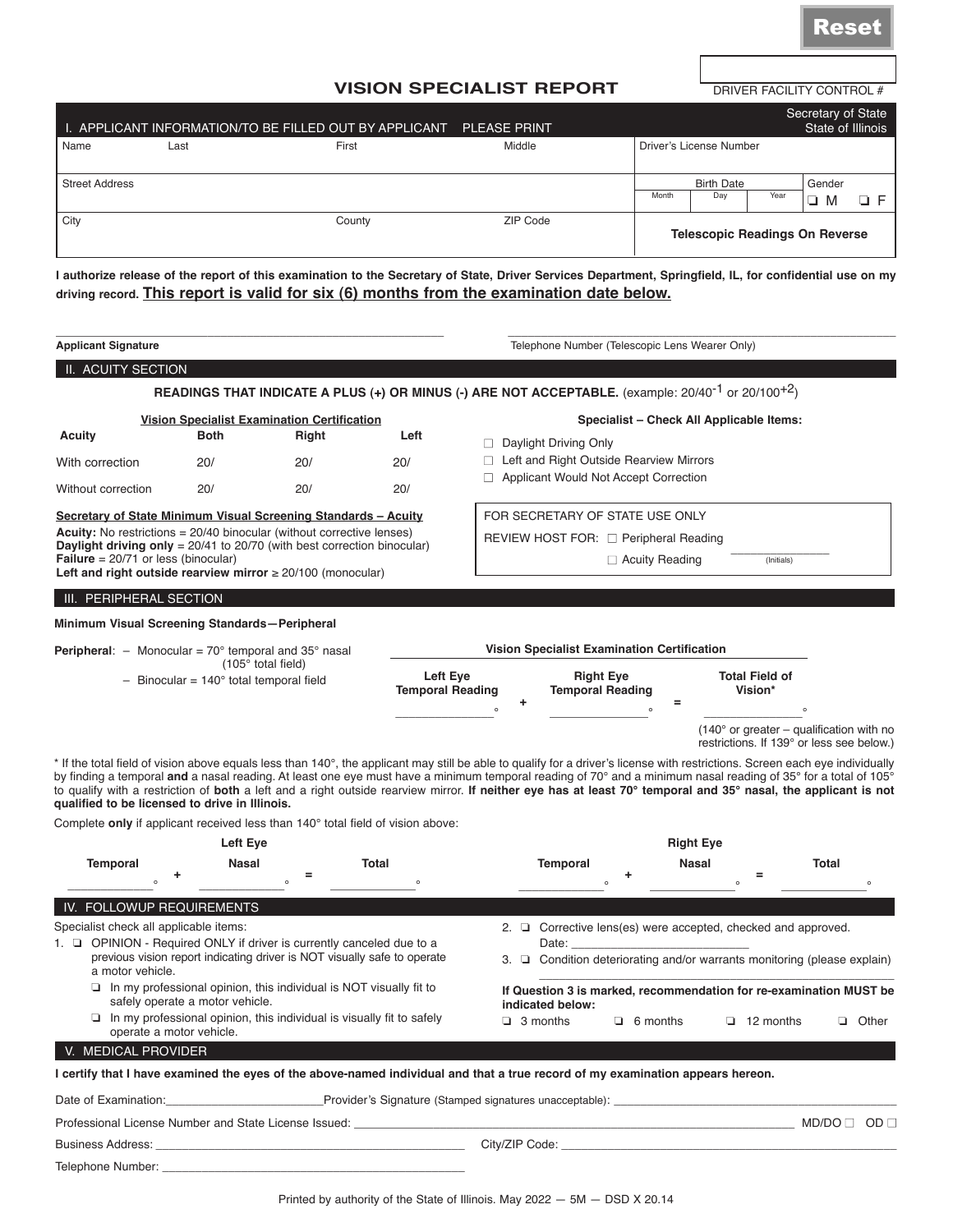DRIVER FACILITY CONTROL #

## **VISION SPECIALIST REPORT**

|                       |      | I. APPLICANT INFORMATION/TO BE FILLED OUT BY APPLICANT PLEASE PRINT |          |       |                                       |      | Secretary of State<br>State of Illinois |    |
|-----------------------|------|---------------------------------------------------------------------|----------|-------|---------------------------------------|------|-----------------------------------------|----|
| Name                  | Last | First                                                               | Middle   |       | Driver's License Number               |      |                                         |    |
| <b>Street Address</b> |      |                                                                     |          |       | <b>Birth Date</b>                     |      | Gender                                  |    |
|                       |      |                                                                     |          | Month | Day                                   | Year | ❏<br>M                                  | ОF |
| City                  |      | County                                                              | ZIP Code |       | <b>Telescopic Readings On Reverse</b> |      |                                         |    |

**I authorize release of the report of this examination to the Secretary of State, Driver Services Department, Springfield, IL, for confidential use on my driving record. This report is valid for six (6) months from the examination date below.**

| <b>Applicant Signature</b>                                                                                                                                                                                                                                                                                                                                                                                                                                                                                        |                                                                                                                            |       |                                     |               |                                                                               |                       |                  |                                                                                                |                        |                |
|-------------------------------------------------------------------------------------------------------------------------------------------------------------------------------------------------------------------------------------------------------------------------------------------------------------------------------------------------------------------------------------------------------------------------------------------------------------------------------------------------------------------|----------------------------------------------------------------------------------------------------------------------------|-------|-------------------------------------|---------------|-------------------------------------------------------------------------------|-----------------------|------------------|------------------------------------------------------------------------------------------------|------------------------|----------------|
|                                                                                                                                                                                                                                                                                                                                                                                                                                                                                                                   |                                                                                                                            |       |                                     |               | Telephone Number (Telescopic Lens Wearer Only)                                |                       |                  |                                                                                                |                        |                |
| II. ACUITY SECTION                                                                                                                                                                                                                                                                                                                                                                                                                                                                                                |                                                                                                                            |       |                                     |               |                                                                               |                       |                  |                                                                                                |                        |                |
|                                                                                                                                                                                                                                                                                                                                                                                                                                                                                                                   | READINGS THAT INDICATE A PLUS (+) OR MINUS (-) ARE NOT ACCEPTABLE. (example: 20/40 <sup>-1</sup> or 20/100 <sup>+2</sup> ) |       |                                     |               |                                                                               |                       |                  |                                                                                                |                        |                |
|                                                                                                                                                                                                                                                                                                                                                                                                                                                                                                                   | <b>Vision Specialist Examination Certification</b>                                                                         |       |                                     |               |                                                                               |                       |                  | Specialist - Check All Applicable Items:                                                       |                        |                |
| <b>Acuity</b>                                                                                                                                                                                                                                                                                                                                                                                                                                                                                                     | <b>Both</b>                                                                                                                | Right | Left                                |               | □ Daylight Driving Only                                                       |                       |                  |                                                                                                |                        |                |
| With correction                                                                                                                                                                                                                                                                                                                                                                                                                                                                                                   | 20/                                                                                                                        | 20/   | 20/                                 |               | $\Box$ Left and Right Outside Rearview Mirrors                                |                       |                  |                                                                                                |                        |                |
| Without correction                                                                                                                                                                                                                                                                                                                                                                                                                                                                                                | 20/                                                                                                                        | 20/   | 20/                                 | $\Box$        | Applicant Would Not Accept Correction                                         |                       |                  |                                                                                                |                        |                |
| Secretary of State Minimum Visual Screening Standards - Acuity                                                                                                                                                                                                                                                                                                                                                                                                                                                    |                                                                                                                            |       |                                     |               | FOR SECRETARY OF STATE USE ONLY                                               |                       |                  |                                                                                                |                        |                |
| <b>Acuity:</b> No restrictions = 20/40 binocular (without corrective lenses)                                                                                                                                                                                                                                                                                                                                                                                                                                      |                                                                                                                            |       |                                     |               | REVIEW HOST FOR: □ Peripheral Reading                                         |                       |                  |                                                                                                |                        |                |
| <b>Daylight driving only</b> = $20/41$ to $20/70$ (with best correction binocular)<br><b>Failure</b> = $20/71$ or less (binocular)                                                                                                                                                                                                                                                                                                                                                                                |                                                                                                                            |       |                                     |               |                                                                               | $\Box$ Acuity Reading |                  | (Initials)                                                                                     |                        |                |
| Left and right outside rearview mirror $\geq 20/100$ (monocular)                                                                                                                                                                                                                                                                                                                                                                                                                                                  |                                                                                                                            |       |                                     |               |                                                                               |                       |                  |                                                                                                |                        |                |
| III. PERIPHERAL SECTION                                                                                                                                                                                                                                                                                                                                                                                                                                                                                           |                                                                                                                            |       |                                     |               |                                                                               |                       |                  |                                                                                                |                        |                |
| Minimum Visual Screening Standards-Peripheral                                                                                                                                                                                                                                                                                                                                                                                                                                                                     |                                                                                                                            |       |                                     |               |                                                                               |                       |                  |                                                                                                |                        |                |
| <b>Peripheral:</b> $-$ Monocular = 70 $^{\circ}$ temporal and 35 $^{\circ}$ nasal                                                                                                                                                                                                                                                                                                                                                                                                                                 |                                                                                                                            |       |                                     |               | Vision Specialist Examination Certification                                   |                       |                  |                                                                                                |                        |                |
|                                                                                                                                                                                                                                                                                                                                                                                                                                                                                                                   | $(105°$ total field)                                                                                                       |       |                                     |               |                                                                               |                       |                  |                                                                                                |                        |                |
|                                                                                                                                                                                                                                                                                                                                                                                                                                                                                                                   | $-$ Binocular = 140 $^{\circ}$ total temporal field                                                                        |       | Left Eye<br><b>Temporal Reading</b> | ٠<br>$\Omega$ | <b>Right Eye</b><br><b>Temporal Reading</b>                                   |                       | =                | <b>Total Field of</b><br>Vision*                                                               | $\circ$                |                |
| * If the total field of vision above equals less than 140°, the applicant may still be able to qualify for a driver's license with restrictions. Screen each eye individually<br>by finding a temporal and a nasal reading. At least one eye must have a minimum temporal reading of 70° and a minimum nasal reading of 35° for a total of 105°<br>to qualify with a restriction of both a left and a right outside rearview mirror. If neither eye has at least 70° temporal and 35° nasal, the applicant is not |                                                                                                                            |       |                                     |               |                                                                               |                       |                  | $(140^{\circ}$ or greater – qualification with no<br>restrictions. If 139° or less see below.) |                        |                |
| qualified to be licensed to drive in Illinois.<br>Complete only if applicant received less than 140° total field of vision above:                                                                                                                                                                                                                                                                                                                                                                                 |                                                                                                                            |       |                                     |               |                                                                               |                       |                  |                                                                                                |                        |                |
|                                                                                                                                                                                                                                                                                                                                                                                                                                                                                                                   | Left Eye                                                                                                                   |       |                                     |               |                                                                               |                       | <b>Right Eye</b> |                                                                                                |                        |                |
| <b>Temporal</b>                                                                                                                                                                                                                                                                                                                                                                                                                                                                                                   | Nasal                                                                                                                      |       | Total                               |               | <b>Temporal</b>                                                               |                       | <b>Nasal</b>     |                                                                                                | <b>Total</b>           |                |
|                                                                                                                                                                                                                                                                                                                                                                                                                                                                                                                   |                                                                                                                            | =     | $\circ$                             |               |                                                                               |                       |                  | =                                                                                              |                        |                |
| IV. FOLLOWUP REQUIREMENTS                                                                                                                                                                                                                                                                                                                                                                                                                                                                                         |                                                                                                                            |       |                                     |               |                                                                               |                       |                  |                                                                                                |                        |                |
| Specialist check all applicable items:                                                                                                                                                                                                                                                                                                                                                                                                                                                                            |                                                                                                                            |       |                                     |               | 2. $\Box$ Corrective lens(es) were accepted, checked and approved.            |                       |                  |                                                                                                |                        |                |
| 1. $\Box$ OPINION - Required ONLY if driver is currently canceled due to a                                                                                                                                                                                                                                                                                                                                                                                                                                        |                                                                                                                            |       |                                     |               | Date:                                                                         |                       |                  |                                                                                                |                        |                |
| a motor vehicle.                                                                                                                                                                                                                                                                                                                                                                                                                                                                                                  | previous vision report indicating driver is NOT visually safe to operate                                                   |       |                                     |               | 3. $\Box$ Condition deteriorating and/or warrants monitoring (please explain) |                       |                  |                                                                                                |                        |                |
|                                                                                                                                                                                                                                                                                                                                                                                                                                                                                                                   | $\Box$ In my professional opinion, this individual is NOT visually fit to<br>safely operate a motor vehicle.               |       |                                     |               | If Question 3 is marked, recommendation for re-examination MUST be            |                       |                  |                                                                                                |                        |                |
|                                                                                                                                                                                                                                                                                                                                                                                                                                                                                                                   | $\Box$ In my professional opinion, this individual is visually fit to safely                                               |       |                                     |               | indicated below:<br>$\Box$ 3 months                                           | $\Box$ 6 months       |                  | $\Box$ 12 months                                                                               |                        | <b>Q</b> Other |
| V. MEDICAL PROVIDER                                                                                                                                                                                                                                                                                                                                                                                                                                                                                               | operate a motor vehicle.                                                                                                   |       |                                     |               |                                                                               |                       |                  |                                                                                                |                        |                |
| I certify that I have examined the eyes of the above-named individual and that a true record of my examination appears hereon.                                                                                                                                                                                                                                                                                                                                                                                    |                                                                                                                            |       |                                     |               |                                                                               |                       |                  |                                                                                                |                        |                |
| Date of Examination: example and the Provider's Signature (Stamped signatures unacceptable):                                                                                                                                                                                                                                                                                                                                                                                                                      |                                                                                                                            |       |                                     |               |                                                                               |                       |                  |                                                                                                |                        |                |
| Professional License Number and State License Issued: Name of the State of the State of the State of the State O                                                                                                                                                                                                                                                                                                                                                                                                  |                                                                                                                            |       |                                     |               |                                                                               |                       |                  |                                                                                                | $MD/DO \Box$ OD $\Box$ |                |
|                                                                                                                                                                                                                                                                                                                                                                                                                                                                                                                   |                                                                                                                            |       |                                     |               | City/ZIP Code: William Communication City/ZIP Code:                           |                       |                  |                                                                                                |                        |                |
|                                                                                                                                                                                                                                                                                                                                                                                                                                                                                                                   |                                                                                                                            |       |                                     |               |                                                                               |                       |                  |                                                                                                |                        |                |
|                                                                                                                                                                                                                                                                                                                                                                                                                                                                                                                   |                                                                                                                            |       |                                     |               |                                                                               |                       |                  |                                                                                                |                        |                |